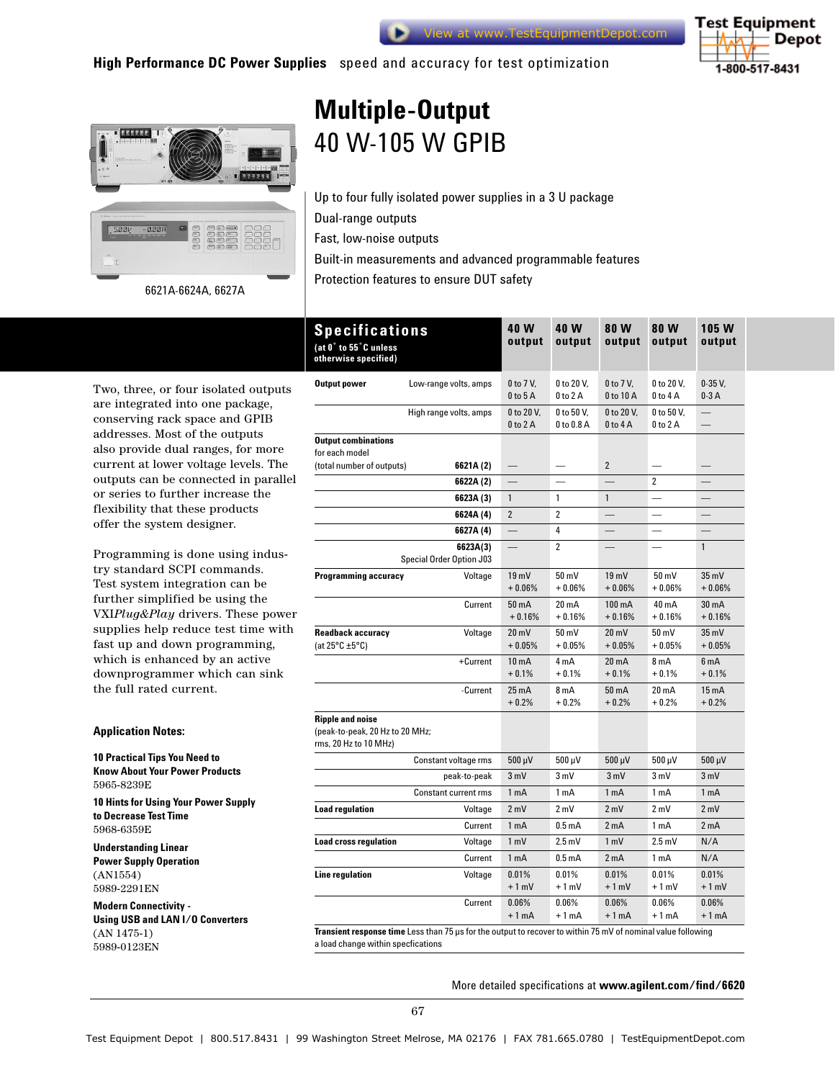





# **Multiple-Output**  40 W-105 W GPIB

Up to four fully isolated power supplies in a 3 U package Dual-range outputs Fast, low-noise outputs

Built-in measurements and advanced programmable features

Protection features to ensure DUT safety 6621A-6624A, 6627A

Two, three, or four isolated outputs are integrated into one package, conserving rack space and GPIB addresses. Most of the outputs also provide dual ranges, for more current at lower voltage levels. The outputs can be connected in parallel or series to further increase the flexibility that these products offer the system designer.

Programming is done using industry standard SCPI commands. Test system integration can be further simplified be using the VXI*Plug&Play* drivers. These power supplies help reduce test time with fast up and down programming, which is enhanced by an active downprogrammer which can sink the full rated current.

## **Application Notes:**

### **10 Practical Tips You Need to Know About Your Power Products** 5965-8239E

**10 Hints for Using Your Power Supply to Decrease Test Time** 

5968-6359E

**Understanding Linear** 

**Power Supply Operation**  (AN1554) 5989-2291EN

**Modern Connectivity - Using USB and LAN I/O Converters**  (AN 1475-1) 5989-0123EN

| <b>Specifications</b><br>(at 0° to 55°C unless<br>otherwise specified)              | 40 W<br>output                | 40 W<br>output              | 80 W<br>output                     | 80 W<br>output              | 105 W<br>output               |
|-------------------------------------------------------------------------------------|-------------------------------|-----------------------------|------------------------------------|-----------------------------|-------------------------------|
| Output power<br>Low-range volts, amps                                               | 0 to 7 V,<br>$0$ to $5$ A     | 0 to 20 V,<br>$0$ to $2$ A  | 0 to 7 V,<br>0 to 10 A             | 0 to 20 V,<br>$0$ to $4$ A  | $0-35V$ ,<br>$0-3A$           |
| High range volts, amps                                                              | 0 to 20 V,<br>$0$ to $2A$     | 0 to 50 V.<br>0 to 0.8 A    | 0 to 20 V.<br>$0$ to $4$ A         | 0 to 50 V,<br>$0$ to $2A$   | $\overline{\phantom{0}}$      |
| <b>Output combinations</b><br>for each model                                        |                               |                             |                                    |                             |                               |
| (total number of outputs)<br>6621A (2)                                              |                               |                             | $\overline{2}$                     |                             |                               |
| 6622A (2)                                                                           |                               |                             |                                    | $\overline{2}$              |                               |
| 6623A (3)                                                                           | $\mathbf{1}$                  | 1                           | $\mathbf{1}$                       |                             |                               |
| 6624A (4)                                                                           | $\overline{2}$                | $\overline{2}$              |                                    |                             |                               |
| 6627A (4)                                                                           |                               | 4                           |                                    |                             |                               |
| 6623A(3)<br>Special Order Option J03                                                |                               | $\overline{2}$              |                                    |                             | $\mathbf{1}$                  |
| <b>Programming accuracy</b><br>Voltage                                              | 19mV<br>$+0.06%$              | 50 mV<br>$+0.06%$           | 19 <sub>mV</sub><br>$+0.06%$       | $50 \text{ mV}$<br>$+0.06%$ | $35 \text{ mV}$<br>$+0.06%$   |
| Current                                                                             | 50 <sub>m</sub> A<br>$+0.16%$ | $20 \text{ mA}$<br>$+0.16%$ | 100 mA<br>$+0.16%$                 | $40 \text{ mA}$<br>$+0.16%$ | 30 <sub>m</sub> A<br>$+0.16%$ |
| <b>Readback accuracy</b><br>Voltage<br>(at $25^{\circ}$ C ±5 $^{\circ}$ C)          | $20 \text{ mV}$<br>$+0.05%$   | 50 mV<br>$+0.05%$           | $20 \text{ mV}$<br>$+0.05%$        | 50 mV<br>$+0.05%$           | $35 \text{ mV}$<br>$+0.05%$   |
| +Current                                                                            | 10 <sub>m</sub> A<br>$+0.1%$  | 4 mA<br>$+0.1%$             | $20 \text{ mA}$<br>$+0.1%$         | 8 mA<br>$+0.1%$             | 6 <sub>m</sub> A<br>$+0.1%$   |
| -Current                                                                            | $25 \text{ mA}$<br>$+0.2%$    | 8 mA<br>$+0.2%$             | 50 mA<br>$+0.2%$                   | 20 mA<br>$+0.2%$            | $15 \text{ mA}$<br>$+0.2%$    |
| <b>Ripple and noise</b><br>(peak-to-peak, 20 Hz to 20 MHz;<br>rms, 20 Hz to 10 MHz) |                               |                             |                                    |                             |                               |
| Constant voltage rms                                                                | 500 µV                        | $500 \mu V$                 | $500 \mu V$                        | 500 µV                      | $500 \mu V$                   |
| peak-to-peak                                                                        | 3 mV                          | 3 mV                        | 3 mV                               | 3 mV                        | 3 mV                          |
| Constant current rms                                                                | 1 <sub>m</sub> A              | 1 mA                        | 1 mA                               | 1 mA                        | 1 mA                          |
| <b>Load regulation</b><br>Voltage                                                   | 2 mV                          | 2 mV                        | 2 mV                               | 2 mV                        | 2 mV                          |
| Current                                                                             | 1 <sub>m</sub> A              | 0.5 <sub>m</sub> A          | 2 <sub>m</sub> A                   | 1 <sub>mA</sub>             | 2 <sub>m</sub> A              |
| <b>Load cross regulation</b><br>Voltage                                             | 1 <sub>m</sub>                | $2.5 \text{ mV}$            | 1 <sub>m</sub>                     | $2.5 \text{ mV}$            | N/A                           |
| Current                                                                             | 1 <sub>m</sub> A              | 0.5 <sub>m</sub> A          | 2 <sub>m</sub> A                   | 1 mA                        | N/A                           |
| <b>Line regulation</b><br>Voltage                                                   | 0.01%                         | 0.01%                       | 0.01%                              | 0.01%                       | 0.01%                         |
|                                                                                     | $+1$ mV                       | $+1$ mV                     | $+1$ mV                            | $+1$ mV                     | $+1$ mV                       |
| Current                                                                             | 0.06%<br>$+1$ mA              | 0.06%<br>$+1mA$             | 0.06%<br>$+1mA$<br>$\cdot$ $\cdot$ | 0.06%<br>$+1mA$             | 0.06%<br>$+1mA$               |

**Transient response time** Less than 75 µs for the output to recover to within 75 mV of nominal value following a load change within specfications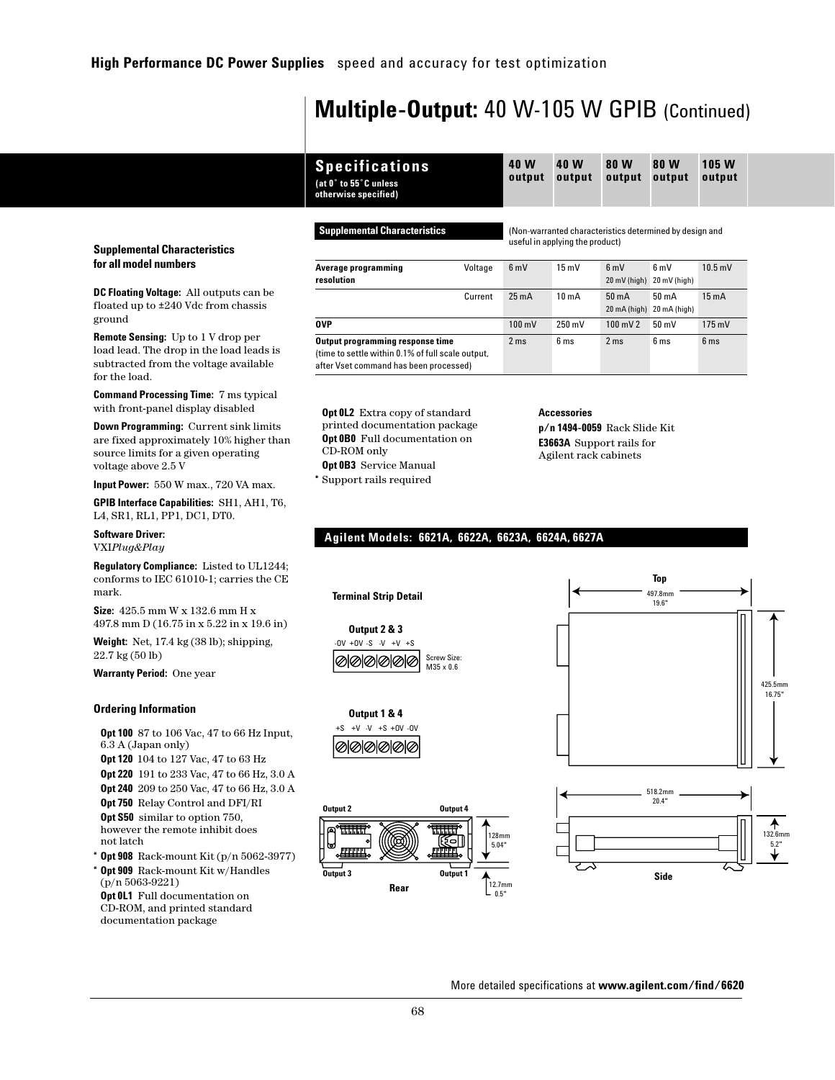## **Multiple-Output:** 40 W-105 W GPIB (Continued)

| <b>Specifications</b> |
|-----------------------|
| (at 0° to 55°C unless |
| otherwise specified)  |

**Supplemental Characteristics** (Non-warranted characteristics determined by design and useful in applying the product)

| Average programming                                                                                                             | Voltage | 6 mV             | $15 \text{ mV}$   | 6mV                | 6 mV                                          | $10.5$ mV         |
|---------------------------------------------------------------------------------------------------------------------------------|---------|------------------|-------------------|--------------------|-----------------------------------------------|-------------------|
| resolution                                                                                                                      |         |                  |                   | 20 mV (high)       | 20 mV (high)                                  |                   |
|                                                                                                                                 | Current | $25 \text{ mA}$  | 10 <sub>m</sub> A | $50 \text{ mA}$    | $50 \text{ mA}$                               | 15 <sub>m</sub> A |
|                                                                                                                                 |         |                  |                   |                    | $20 \text{ mA}$ (high) $20 \text{ mA}$ (high) |                   |
| 0VP                                                                                                                             |         | $100 \text{ mV}$ | $250 \text{ mV}$  | $100 \text{ mV}$ 2 | $50 \text{ mV}$                               | $175 \text{ mV}$  |
| Output programming response time<br>(time to settle within 0.1% of full scale output,<br>after Vset command has been processed) |         | 2 <sub>ms</sub>  | 6 <sub>ms</sub>   | 2 <sub>ms</sub>    | 6 <sub>ms</sub>                               | 6 <sub>ms</sub>   |

**Opt 0L2** Extra copy of standard printed documentation package **Opt 0B0** Full documentation on CD-ROM only **Opt 0B3** Service Manual **\*** Support rails required

**Accessories**

**p/n 1494-0059** Rack Slide Kit **E3663A** Support rails for Agilent rack cabinets

## **Input Power:** 550 W max., 720 VA max.

**GPIB Interface Capabilities:** SH1, AH1, T6, L4, SR1, RL1, PP1, DC1, DT0.

**Supplemental Characteristics for all model numbers**

**DC Floating Voltage:** All outputs can be floated up to ±240 Vdc from chassis

**Remote Sensing:** Up to 1 V drop per load lead. The drop in the load leads is subtracted from the voltage available

**Command Processing Time:** 7 ms typical with front-panel display disabled **Down Programming:** Current sink limits are fixed approximately 10% higher than source limits for a given operating

**Software Driver:** VXI*Plug&Play*

voltage above 2.5 V

ground

for the load.

**Regulatory Compliance:** Listed to UL1244; conforms to IEC 61010-1; carries the CE mark.

**Size:** 425.5 mm W x 132.6 mm H x 497.8 mm D (16.75 in x 5.22 in x 19.6 in)

**Weight:** Net, 17.4 kg (38 lb); shipping, 22.7 kg (50 lb)

**Warranty Period:** One year

### **Ordering Information**

**Opt 100** 87 to 106 Vac, 47 to 66 Hz Input, 6.3 A (Japan only)

**Opt 120** 104 to 127 Vac, 47 to 63 Hz **Opt 220** 191 to 233 Vac, 47 to 66 Hz, 3.0 A **Opt 240** 209 to 250 Vac, 47 to 66 Hz, 3.0 A **Opt 750** Relay Control and DFI/RI

**Opt S50** similar to option 750, however the remote inhibit does not latch

- **\* Opt 908** Rack-mount Kit (p/n 5062-3977)
- **\* Opt 909** Rack-mount Kit w/Handles (p/n 5063-9221) **Opt 0L1** Full documentation on CD-ROM, and printed standard documentation package

## **Agilent Models: 6621A, 6622A, 6623A, 6624A, 6627A**

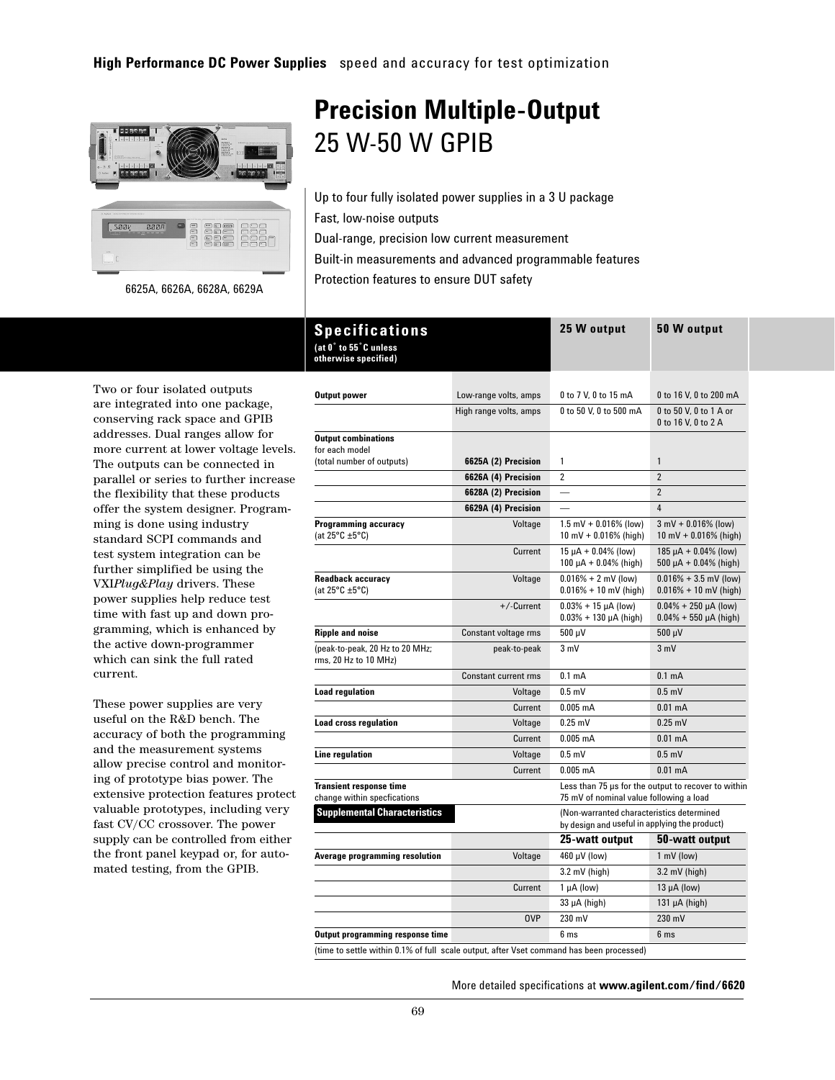

Protection features to ensure DUT safety 6625A, 6626A, 6628A, 6629A

## **Precision Multiple-Output**  25 W-50 W GPIB

Up to four fully isolated power supplies in a 3 U package Fast, low-noise outputs Dual-range, precision low current measurement Built-in measurements and advanced programmable features

Two or four isolated outputs are integrated into one package, conserving rack space and GPIB addresses. Dual ranges allow for more current at lower voltage levels. The outputs can be connected in parallel or series to further increase the flexibility that these products offer the system designer. Programming is done using industry standard SCPI commands and test system integration can be further simplified be using the VXI*Plug&Play* drivers. These power supplies help reduce test time with fast up and down programming, which is enhanced by the active down-programmer which can sink the full rated current.

These power supplies are very useful on the R&D bench. The accuracy of both the programming and the measurement systems allow precise control and monitoring of prototype bias power. The extensive protection features protect valuable prototypes, including very fast CV/CC crossover. The power supply can be controlled from either the front panel keypad or, for automated testing, from the GPIB.

| Specifications<br>(at 0° to 55°C unless<br>otherwise specified) |                             | 25 W output                                                                                | 50 W output                                                |
|-----------------------------------------------------------------|-----------------------------|--------------------------------------------------------------------------------------------|------------------------------------------------------------|
|                                                                 |                             |                                                                                            |                                                            |
| <b>Output power</b>                                             | Low-range volts, amps       | 0 to 7 V, 0 to 15 mA                                                                       | 0 to 16 V, 0 to 200 mA                                     |
|                                                                 | High range volts, amps      | 0 to 50 V, 0 to 500 mA                                                                     | 0 to 50 V, 0 to 1 A or<br>0 to 16 V, 0 to 2 A              |
| <b>Output combinations</b><br>for each model                    |                             |                                                                                            |                                                            |
| (total number of outputs)                                       | 6625A (2) Precision         | 1                                                                                          | $\mathbf{1}$                                               |
|                                                                 | 6626A (4) Precision         | $\overline{2}$                                                                             | $\overline{2}$                                             |
|                                                                 | 6628A (2) Precision         |                                                                                            | $\overline{2}$                                             |
|                                                                 | 6629A (4) Precision         |                                                                                            | 4                                                          |
| <b>Programming accuracy</b><br>(at $25^{\circ}$ C ±5°C)         | Voltage                     | $1.5$ mV + 0.016% (low)<br>10 mV + $0.016\%$ (high)                                        | $3 \text{ mV} + 0.016\%$ (low)<br>10 mV + $0.016\%$ (high) |
|                                                                 | Current                     | $15 \mu A + 0.04\%$ (low)<br>100 $\mu$ A + 0.04% (high)                                    | $185 \mu A + 0.04\%$ (low)<br>$500 \mu A + 0.04\%$ (high)  |
| <b>Readback accuracy</b><br>(at $25^{\circ}$ C ±5°C)            | Voltage                     | $0.016\% + 2$ mV (low)<br>$0.016\% + 10$ mV (high)                                         | $0.016\% + 3.5$ mV (low)<br>$0.016\% + 10$ mV (high)       |
|                                                                 | +/-Current                  | $0.03\% + 15 \mu A$ (low)<br>$0.03\% + 130 \mu A$ (high)                                   | $0.04\% + 250 \mu A$ (low)<br>$0.04\% + 550 \mu A$ (high)  |
| <b>Ripple and noise</b>                                         | Constant voltage rms        | $500 \mu V$                                                                                | 500 µV                                                     |
| (peak-to-peak, 20 Hz to 20 MHz;<br>rms, 20 Hz to 10 MHz)        | peak-to-peak                | 3 mV                                                                                       | 3 mV                                                       |
|                                                                 | <b>Constant current rms</b> | 0.1 <sub>m</sub> A                                                                         | 0.1 <sub>m</sub> A                                         |
| <b>Load regulation</b>                                          | Voltage                     | $0.5$ mV                                                                                   | $0.5$ mV                                                   |
|                                                                 | Current                     | $0.005$ mA                                                                                 | $0.01 \text{ mA}$                                          |
| <b>Load cross regulation</b>                                    | Voltage                     | $0.25$ mV                                                                                  | $0.25$ mV                                                  |
|                                                                 | Current                     | $0.005$ mA                                                                                 | $0.01$ mA                                                  |
| Line regulation                                                 | Voltage                     | $0.5$ mV                                                                                   | $0.5$ mV                                                   |
|                                                                 | Current                     | $0.005$ mA                                                                                 | $0.01$ mA                                                  |
| <b>Transient response time</b><br>change within specfications   |                             | 75 mV of nominal value following a load                                                    | Less than 75 us for the output to recover to within        |
| <b>Supplemental Characteristics</b>                             |                             | (Non-warranted characteristics determined<br>by design and useful in applying the product) |                                                            |
|                                                                 |                             | 25-watt output                                                                             | 50-watt output                                             |
| Average programming resolution                                  | Voltage                     | 460 µV (low)                                                                               | 1 mV (low)                                                 |
|                                                                 |                             | $3.2$ mV (high)                                                                            | $3.2$ mV (high)                                            |
|                                                                 | Current                     | $1 \mu A$ (low)                                                                            | $13 \mu A$ (low)                                           |
|                                                                 |                             | 33 µA (high)                                                                               | $131 \mu A$ (high)                                         |
|                                                                 | <b>OVP</b>                  | 230 mV                                                                                     | 230 mV                                                     |
| Output programming response time                                |                             | 6 <sub>ms</sub>                                                                            | 6 <sub>ms</sub>                                            |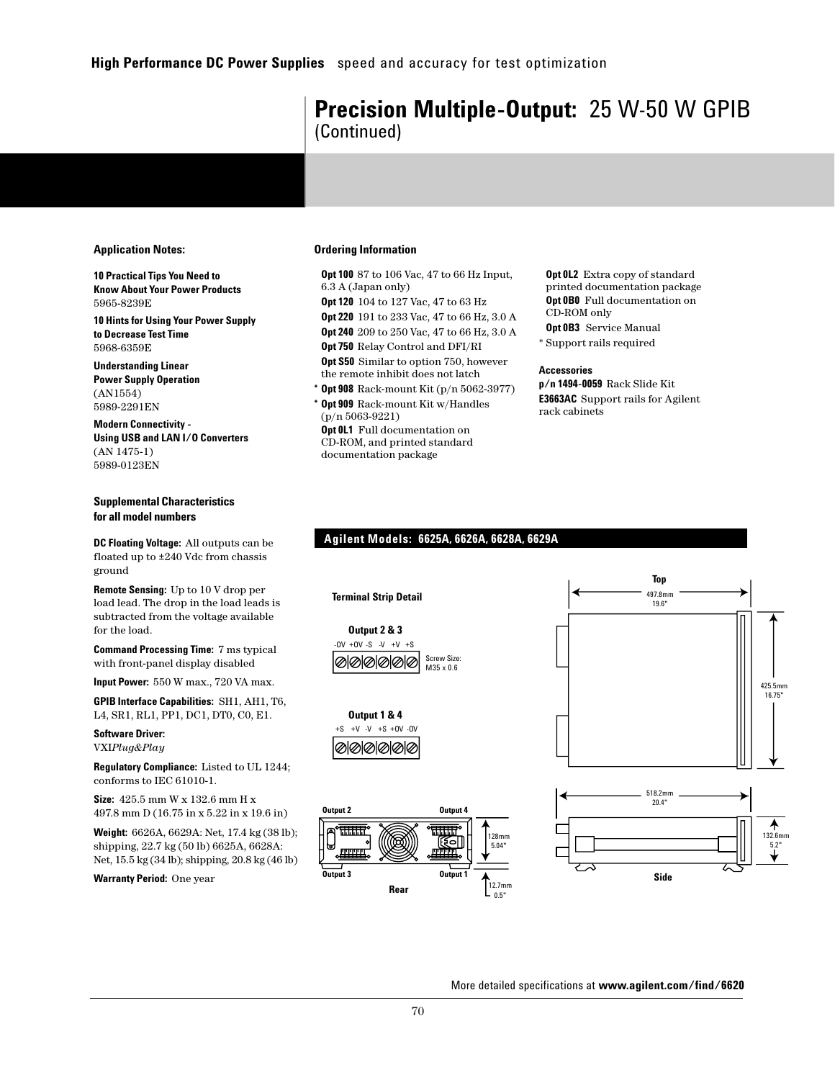## **Precision Multiple-Output:** 25 W-50 W GPIB (Continued)

## **Application Notes:**

**10 Practical Tips You Need to Know About Your Power Products** 5965-8239E

**10 Hints for Using Your Power Supply to Decrease Test Time**  5968-6359E

**Understanding Linear Power Supply Operation**  (AN1554) 5989-2291EN

**Modern Connectivity - Using USB and LAN I/O Converters**  (AN 1475-1) 5989-0123EN

## **Supplemental Characteristics for all model numbers**

**DC Floating Voltage:** All outputs can be floated up to ±240 Vdc from chassis ground

**Remote Sensing:** Up to 10 V drop per load lead. The drop in the load leads is subtracted from the voltage available for the load.

**Command Processing Time:** 7 ms typical with front-panel display disabled

**Input Power:** 550 W max., 720 VA max.

**GPIB Interface Capabilities:** SH1, AH1, T6, L4, SR1, RL1, PP1, DC1, DT0, C0, E1.

**Software Driver:** VXI*Plug&Play*

**Regulatory Compliance:** Listed to UL 1244; conforms to IEC 61010-1.

**Size:** 425.5 mm W x 132.6 mm H x 497.8 mm D (16.75 in x 5.22 in x 19.6 in)

**Weight:** 6626A, 6629A: Net, 17.4 kg (38 lb); shipping, 22.7 kg (50 lb) 6625A, 6628A: Net, 15.5 kg (34 lb); shipping, 20.8 kg (46 lb)

**Warranty Period:** One year

## **Ordering Information**

**Opt 100** 87 to 106 Vac, 47 to 66 Hz Input, 6.3 A (Japan only)

**Opt 120** 104 to 127 Vac, 47 to 63 Hz **Opt 220** 191 to 233 Vac, 47 to 66 Hz, 3.0 A **Opt 240** 209 to 250 Vac, 47 to 66 Hz, 3.0 A

**Opt 750** Relay Control and DFI/RI **Opt S50** Similar to option 750, however the remote inhibit does not latch

**Opt 908** Rack-mount Kit (p/n 5062-3977)

**Opt 909** Rack-mount Kit w/Handles (p/n 5063-9221) **Opt 0L1** Full documentation on CD-ROM, and printed standard documentation package

**Opt 0L2** Extra copy of standard printed documentation package **Opt 0B0** Full documentation on CD-ROM only **Opt 0B3** Service Manual

\* Support rails required

## **Accessories**

**p/n 1494-0059** Rack Slide Kit **E3663AC** Support rails for Agilent rack cabinets

## **Agilent Models: 6625A, 6626A, 6628A, 6629A**